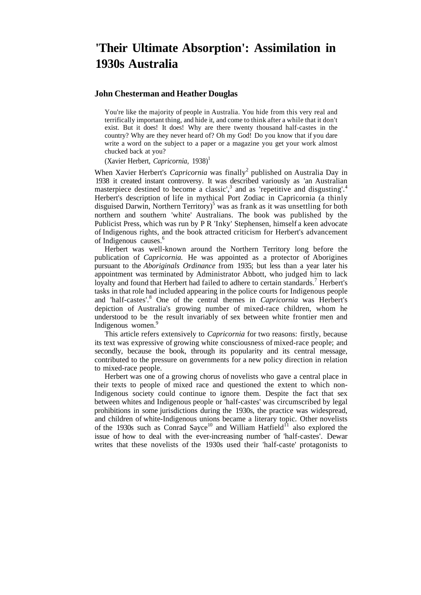# **'Their Ultimate Absorption': Assimilation in 1930s Australia**

# **John Chesterman and Heather Douglas**

You're like the majority of people in Australia. You hide from this very real and terrifically important thing, and hide it, and come to think after a while that it don't exist. But it does! It does! Why are there twenty thousand half-castes in the country? Why are they never heard of? Oh my God! Do you know that if you dare write a word on the subject to a paper or a magazine you get your work almost chucked back at you?

(Xavier Herbert, *Capricornia*, 1938)<sup>1</sup>

When Xavier Herbert's *Capricornia* was finally<sup>2</sup> published on Australia Day in 1938 it created instant controversy. It was described variously as 'an Australian masterpiece destined to become a classic',<sup>3</sup> and as 'repetitive and disgusting'.<sup>4</sup> Herbert's description of life in mythical Port Zodiac in Capricornia (a thinly disguised Darwin, Northern Territory)<sup>5</sup> was as frank as it was unsettling for both northern and southern 'white' Australians. The book was published by the Publicist Press, which was run by P R 'Inky' Stephensen, himself a keen advocate of Indigenous rights, and the book attracted criticism for Herbert's advancement of Indigenous causes.<sup>6</sup>

Herbert was well-known around the Northern Territory long before the publication of *Capricornia.* He was appointed as a protector of Aborigines pursuant to the *Aboriginals Ordinance* from 1935; but less than a year later his appointment was terminated by Administrator Abbott, who judged him to lack loyalty and found that Herbert had failed to adhere to certain standards.<sup>7</sup> Herbert's tasks in that role had included appearing in the police courts for Indigenous people and 'half-castes'.<sup>8</sup> One of the central themes in *Capricornia* was Herbert's depiction of Australia's growing number of mixed-race children, whom he understood to be the result invariably of sex between white frontier men and Indigenous women.<sup>9</sup>

This article refers extensively to *Capricornia* for two reasons: firstly, because its text was expressive of growing white consciousness of mixed-race people; and secondly, because the book, through its popularity and its central message, contributed to the pressure on governments for a new policy direction in relation to mixed-race people.

Herbert was one of a growing chorus of novelists who gave a central place in their texts to people of mixed race and questioned the extent to which non-Indigenous society could continue to ignore them. Despite the fact that sex between whites and Indigenous people or 'half-castes' was circumscribed by legal prohibitions in some jurisdictions during the 1930s, the practice was widespread, and children of white-Indigenous unions became a literary topic. Other novelists of the 1930s such as Conrad Sayce<sup>10</sup> and William Hatfield<sup>11</sup> also explored the issue of how to deal with the ever-increasing number of 'half-castes'. Dewar writes that these novelists of the 1930s used their 'half-caste' protagonists to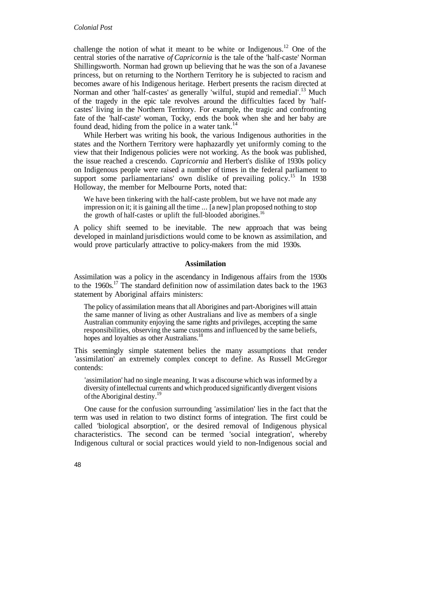challenge the notion of what it meant to be white or Indigenous.<sup>12</sup> One of the central stories of the narrative *of Capricornia* is the tale of the 'half-caste' Norman Shillingsworth. Norman had grown up believing that he was the son of a Javanese princess, but on returning to the Northern Territory he is subjected to racism and becomes aware of his Indigenous heritage. Herbert presents the racism directed at Norman and other 'half-castes' as generally 'wilful, stupid and remedial'.<sup>13</sup> Much of the tragedy in the epic tale revolves around the difficulties faced by 'halfcastes' living in the Northern Territory. For example, the tragic and confronting fate of the 'half-caste' woman, Tocky, ends the book when she and her baby are found dead, hiding from the police in a water tank.<sup>14</sup>

While Herbert was writing his book, the various Indigenous authorities in the states and the Northern Territory were haphazardly yet uniformly coming to the view that their Indigenous policies were not working. As the book was published, the issue reached a crescendo. *Capricornia* and Herbert's dislike of 1930s policy on Indigenous people were raised a number of times in the federal parliament to support some parliamentarians' own dislike of prevailing policy.<sup>15</sup> In 1938 Holloway, the member for Melbourne Ports, noted that:

We have been tinkering with the half-caste problem, but we have not made any impression on it; it is gaining all the time ... [a new] plan proposed nothing to stop the growth of half-castes or uplift the full-blooded aborigines.<sup>16</sup>

A policy shift seemed to be inevitable. The new approach that was being developed in mainland jurisdictions would come to be known as assimilation, and would prove particularly attractive to policy-makers from the mid 1930s.

#### **Assimilation**

Assimilation was a policy in the ascendancy in Indigenous affairs from the 1930s to the 1960s.<sup>17</sup> The standard definition now of assimilation dates back to the 1963 statement by Aboriginal affairs ministers:

The policy of assimilation means that all Aborigines and part-Aborigines will attain the same manner of living as other Australians and live as members of a single Australian community enjoying the same rights and privileges, accepting the same responsibilities, observing the same customs and influenced by the same beliefs, hopes and loyalties as other Australians.<sup>18</sup>

This seemingly simple statement belies the many assumptions that render 'assimilation' an extremely complex concept to define. As Russell McGregor contends:

'assimilation' had no single meaning. It was a discourse which was informed by a diversity of intellectual currents and which produced significantly divergent visions of the Aboriginal destiny.<sup>19</sup>

One cause for the confusion surrounding 'assimilation' lies in the fact that the term was used in relation to two distinct forms of integration. The first could be called 'biological absorption', or the desired removal of Indigenous physical characteristics. The second can be termed 'social integration', whereby Indigenous cultural or social practices would yield to non-Indigenous social and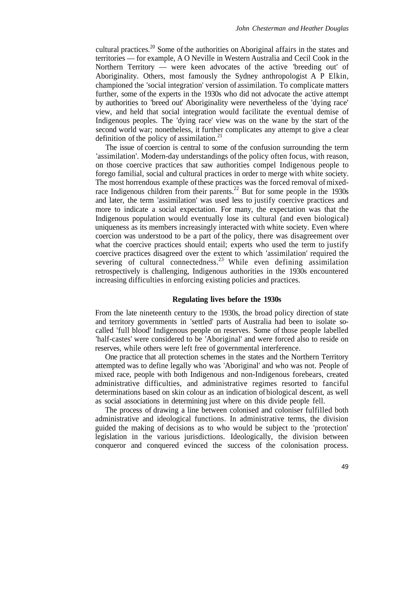cultural practices.<sup>20</sup> Some of the authorities on Aboriginal affairs in the states and territories — for example, A O Neville in Western Australia and Cecil Cook in the Northern Territory — were keen advocates of the active 'breeding out' of Aboriginality. Others, most famously the Sydney anthropologist A P Elkin, championed the 'social integration' version of assimilation. To complicate matters further, some of the experts in the 1930s who did not advocate the active attempt by authorities to 'breed out' Aboriginality were nevertheless of the 'dying race' view, and held that social integration would facilitate the eventual demise of Indigenous peoples. The 'dying race' view was on the wane by the start of the second world war; nonetheless, it further complicates any attempt to give a clear definition of the policy of assimilation. $21$ 

The issue of coercion is central to some of the confusion surrounding the term 'assimilation'. Modern-day understandings of the policy often focus, with reason, on those coercive practices that saw authorities compel Indigenous people to forego familial, social and cultural practices in order to merge with white society. The most horrendous example of these practices was the forced removal of mixedrace Indigenous children from their parents.<sup>22</sup> But for some people in the 1930s and later, the term 'assimilation' was used less to justify coercive practices and more to indicate a social expectation. For many, the expectation was that the Indigenous population would eventually lose its cultural (and even biological) uniqueness as its members increasingly interacted with white society. Even where coercion was understood to be a part of the policy, there was disagreement over what the coercive practices should entail; experts who used the term to justify coercive practices disagreed over the extent to which 'assimilation' required the severing of cultural connectedness.<sup>23</sup> While even defining assimilation retrospectively is challenging, Indigenous authorities in the 1930s encountered increasing difficulties in enforcing existing policies and practices.

### **Regulating lives before the 1930s**

From the late nineteenth century to the 1930s, the broad policy direction of state and territory governments in 'settled' parts of Australia had been to isolate socalled 'full blood' Indigenous people on reserves. Some of those people labelled 'half-castes' were considered to be 'Aboriginal' and were forced also to reside on reserves, while others were left free of governmental interference.

One practice that all protection schemes in the states and the Northern Territory attempted was to define legally who was 'Aboriginal' and who was not. People of mixed race, people with both Indigenous and non-Indigenous forebears, created administrative difficulties, and administrative regimes resorted to fanciful determinations based on skin colour as an indication of biological descent, as well as social associations in determining just where on this divide people fell.

The process of drawing a line between colonised and coloniser fulfilled both administrative and ideological functions. In administrative terms, the division guided the making of decisions as to who would be subject to the 'protection' legislation in the various jurisdictions. Ideologically, the division between conqueror and conquered evinced the success of the colonisation process.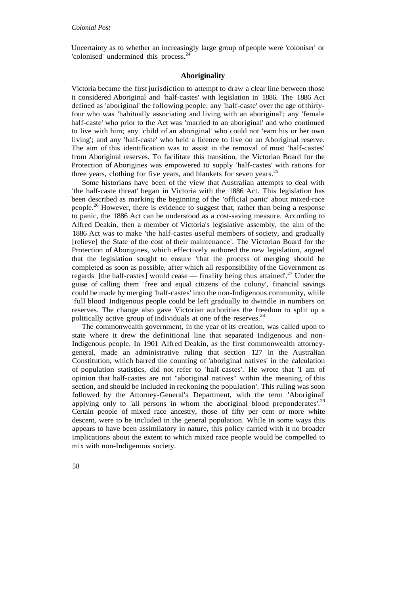Uncertainty as to whether an increasingly large group of people were 'coloniser' or 'colonised' undermined this process.<sup>24</sup>

#### **Aboriginality**

Victoria became the first jurisdiction to attempt to draw a clear line between those it considered Aboriginal and 'half-castes' with legislation in 1886. The 1886 Act defined as 'aboriginal' the following people: any 'half-caste' over the age of thirtyfour who was 'habitually associating and living with an aboriginal'; any 'female half-caste' who prior to the Act was 'married to an aboriginal' and who continued to live with him; any 'child of an aboriginal' who could not 'earn his or her own living'; and any 'half-caste' who held a licence to live on an Aboriginal reserve. The aim of this identification was to assist in the removal of most 'half-castes' from Aboriginal reserves. To facilitate this transition, the Victorian Board for the Protection of Aborigines was empowered to supply 'half-castes' with rations for three years, clothing for five years, and blankets for seven years.<sup>25</sup>

Some historians have been of the view that Australian attempts to deal with 'the half-caste threat' began in Victoria with the 1886 Act. This legislation has been described as marking the beginning of the 'official panic' about mixed-race people.<sup>26</sup> However, there is evidence to suggest that, rather than being a response to panic, the 1886 Act can be understood as a cost-saving measure. According to Alfred Deakin, then a member of Victoria's legislative assembly, the aim of the 1886 Act was to make 'the half-castes useful members of society, and gradually [relieve] the State of the cost of their maintenance'. The Victorian Board for the Protection of Aborigines, which effectively authored the new legislation, argued that the legislation sought to ensure 'that the process of merging should be completed as soon as possible, after which all responsibility of the Government as regards [the half-castes] would cease  $-$  finality being thus attained'.<sup>27</sup> Under the guise of calling them 'free and equal citizens of the colony', financial savings could be made by merging 'half-castes' into the non-Indigenous community, while 'full blood' Indigenous people could be left gradually to dwindle in numbers on reserves. The change also gave Victorian authorities the freedom to split up a politically active group of individuals at one of the reserves.<sup>28</sup>

The commonwealth government, in the year of its creation, was called upon to state where it drew the definitional line that separated Indigenous and non-Indigenous people. In 1901 Alfred Deakin, as the first commonwealth attorneygeneral, made an administrative ruling that section 127 in the Australian Constitution, which barred the counting of 'aboriginal natives' in the calculation of population statistics, did not refer to 'half-castes'. He wrote that 'I am of opinion that half-castes are not "aboriginal natives" within the meaning of this section, and should be included in reckoning the population'. This ruling was soon followed by the Attorney-General's Department, with the term 'Aboriginal' applying only to 'all persons in whom the aboriginal blood preponderates'.<sup>29</sup> Certain people of mixed race ancestry, those of fifty per cent or more white descent, were to be included in the general population. While in some ways this appears to have been assimilatory in nature, this policy carried with it no broader implications about the extent to which mixed race people would be compelled to mix with non-Indigenous society.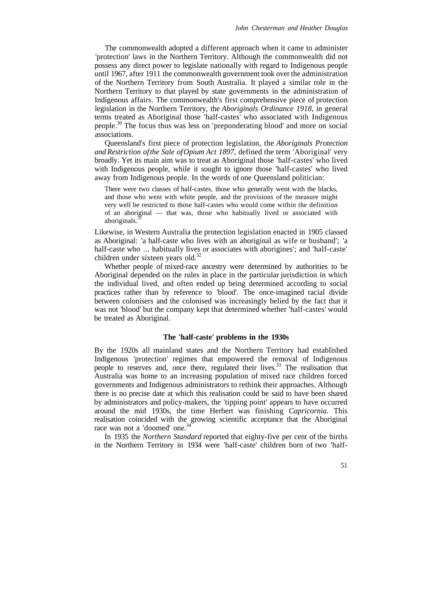The commonwealth adopted a different approach when it came to administer 'protection' laws in the Northern Territory. Although the commonwealth did not possess any direct power to legislate nationally with regard to Indigenous people until 1967, after 1911 the commonwealth government took over the administration of the Northern Territory from South Australia. It played a similar role in the Northern Territory to that played by state governments in the administration of Indigenous affairs. The commonwealth's first comprehensive piece of protection legislation in the Northern Territory, the *Aboriginals Ordinance 1918,* in general terms treated as Aboriginal those 'half-castes' who associated with Indigenous people.<sup>30</sup> The focus thus was less on 'preponderating blood' and more on social associations.

Queensland's first piece of protection legislation, the *Aboriginals Protection and Restriction of the Sale of Opium Act 1897,* defined the term 'Aboriginal' very broadly. Yet its main aim was to treat as Aboriginal those 'half-castes' who lived with Indigenous people, while it sought to ignore those 'half-castes' who lived away from Indigenous people. In the words of one Queensland politician:

There were two classes of half-castes, those who generally went with the blacks, and those who went with white people, and the provisions of the measure might very well be restricted to those half-castes who would come within the definition of an aboriginal — that was, those who habitually lived or associated with aboriginals. $3$ 

Likewise, in Western Australia the protection legislation enacted in 1905 classed as Aboriginal: 'a half-caste who lives with an aboriginal as wife or husband'; 'a half-caste who ... habitually lives or associates with aborigines'; and 'half-caste' children under sixteen years old.<sup>32</sup>

Whether people of mixed-race ancestry were determined by authorities to be Aboriginal depended on the rules in place in the particular jurisdiction in which the individual lived, and often ended up being determined according to social practices rather than by reference to 'blood'. The once-imagined racial divide between colonisers and the colonised was increasingly belied by the fact that it was not 'blood' but the company kept that determined whether 'half-castes' would be treated as Aboriginal.

#### **The 'half-caste' problems in the 1930s**

By the 1920s all mainland states and the Northern Territory had established Indigenous 'protection' regimes that empowered the removal of Indigenous people to reserves and, once there, regulated their lives.<sup>33</sup> The realisation that Australia was home to an increasing population of mixed race children forced governments and Indigenous administrators to rethink their approaches. Although there is no precise date at which this realisation could be said to have been shared by administrators and policy-makers, the 'tipping point' appears to have occurred around the mid 1930s, the time Herbert was finishing *Capricornia.* This realisation coincided with the growing scientific acceptance that the Aboriginal race was not a 'doomed' one.<sup>34</sup>

In 1935 the *Northern Standard* reported that eighty-five per cent of the births in the Northern Territory in 1934 were 'half-caste' children born of two 'half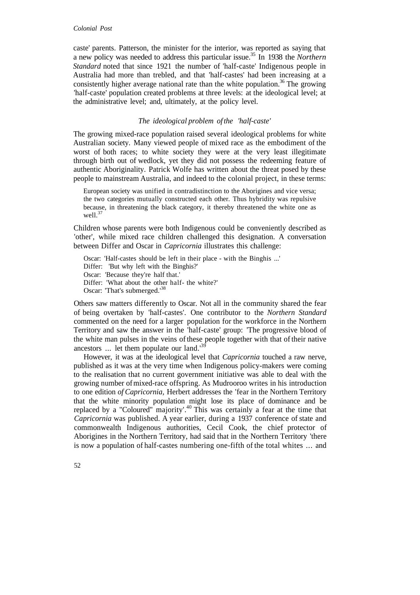caste' parents. Patterson, the minister for the interior, was reported as saying that a new policy was needed to address this particular issue.<sup>35</sup> In 1938 the *Northern Standard* noted that since 1921 the number of 'half-caste' Indigenous people in Australia had more than trebled, and that 'half-castes' had been increasing at a consistently higher average national rate than the white population.<sup>36</sup> The growing 'half-caste' population created problems at three levels: at the ideological level; at the administrative level; and, ultimately, at the policy level.

## *The ideological problem of the 'half-caste'*

The growing mixed-race population raised several ideological problems for white Australian society. Many viewed people of mixed race as the embodiment of the worst of both races; to white society they were at the very least illegitimate through birth out of wedlock, yet they did not possess the redeeming feature of authentic Aboriginality. Patrick Wolfe has written about the threat posed by these people to mainstream Australia, and indeed to the colonial project, in these terms:

European society was unified in contradistinction to the Aborigines and vice versa; the two categories mutually constructed each other. Thus hybridity was repulsive because, in threatening the black category, it thereby threatened the white one as well. $37$ 

Children whose parents were both Indigenous could be conveniently described as 'other', while mixed race children challenged this designation. A conversation between Differ and Oscar in *Capricornia* illustrates this challenge:

Oscar: 'Half-castes should be left in their place - with the Binghis ...'

Differ: 'But why left with the Binghis?'

Oscar: 'Because they're half that.'

Differ: 'What about the other half- the white?'

Oscar: 'That's submerged.'<sup>38</sup>

Others saw matters differently to Oscar. Not all in the community shared the fear of being overtaken by 'half-castes'. One contributor to the *Northern Standard* commented on the need for a larger population for the workforce in the Northern Territory and saw the answer in the 'half-caste' group: 'The progressive blood of the white man pulses in the veins of these people together with that of their native ancestors  $\ldots$  let them populate our land.<sup>39</sup>

However, it was at the ideological level that *Capricornia* touched a raw nerve, published as it was at the very time when Indigenous policy-makers were coming to the realisation that no current government initiative was able to deal with the growing number of mixed-race offspring. As Mudrooroo writes in his introduction to one edition *of Capricornia,* Herbert addresses the 'fear in the Northern Territory that the white minority population might lose its place of dominance and be replaced by a "Coloured" majority'.<sup>40</sup> This was certainly a fear at the time that *Capricornia* was published. A year earlier, during a 1937 conference of state and commonwealth Indigenous authorities, Cecil Cook, the chief protector of Aborigines in the Northern Territory, had said that in the Northern Territory 'there is now a population of half-castes numbering one-fifth of the total whites ... and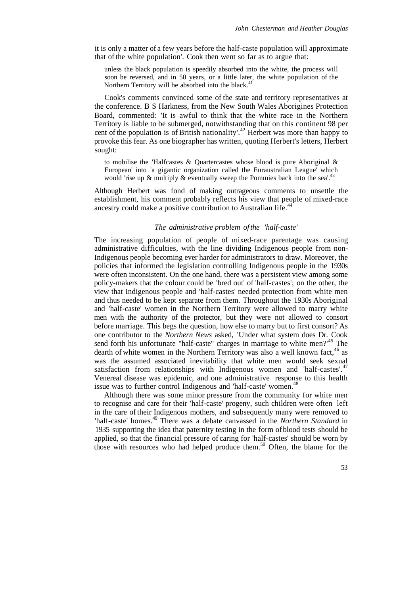it is only a matter of a few years before the half-caste population will approximate that of the white population'. Cook then went so far as to argue that:

unless the black population is speedily absorbed into the white, the process will soon be reversed, and in 50 years, or a little later, the white population of the Northern Territory will be absorbed into the black. $41$ 

Cook's comments convinced some of the state and territory representatives at the conference. B S Harkness, from the New South Wales Aborigines Protection Board, commented: 'It is awful to think that the white race in the Northern Territory is liable to be submerged, notwithstanding that on this continent 98 per cent of the population is of British nationality'.<sup>42</sup> Herbert was more than happy to provoke this fear. As one biographer has written, quoting Herbert's letters, Herbert sought:

to mobilise the 'Halfcastes  $\&$  Quartercastes whose blood is pure Aboriginal  $\&$ European' into 'a gigantic organization called the Euraustralian League' which would 'rise up & multiply & eventually sweep the Pommies back into the sea'.<sup>43</sup>

Although Herbert was fond of making outrageous comments to unsettle the establishment, his comment probably reflects his view that people of mixed-race ancestry could make a positive contribution to Australian life.<sup>44</sup>

#### *The administrative problem of the 'half-caste'*

The increasing population of people of mixed-race parentage was causing administrative difficulties, with the line dividing Indigenous people from non-Indigenous people becoming ever harder for administrators to draw. Moreover, the policies that informed the legislation controlling Indigenous people in the 1930s were often inconsistent. On the one hand, there was a persistent view among some policy-makers that the colour could be 'bred out' of 'half-castes'; on the other, the view that Indigenous people and 'half-castes' needed protection from white men and thus needed to be kept separate from them. Throughout the 1930s Aboriginal and 'half-caste' women in the Northern Territory were allowed to marry white men with the authority of the protector, but they were not allowed to consort before marriage. This begs the question, how else to marry but to first consort? As one contributor to the *Northern News* asked, 'Under what system does Dr. Cook send forth his unfortunate "half-caste" charges in marriage to white men?<sup>45</sup> The dearth of white women in the Northern Territory was also a well known fact,<sup>46</sup> as was the assumed associated inevitability that white men would seek sexual satisfaction from relationships with Indigenous women and 'half-castes'.<sup>47</sup> Venereal disease was epidemic, and one administrative response to this health issue was to further control Indigenous and 'half-caste' women.<sup>48</sup>

Although there was some minor pressure from the community for white men to recognise and care for their 'half-caste' progeny, such children were often left in the care of their Indigenous mothers, and subsequently many were removed to 'half-caste' homes.<sup>49</sup> There was a debate canvassed in the *Northern Standard* in 1935 supporting the idea that paternity testing in the form of blood tests should be applied, so that the financial pressure of caring for 'half-castes' should be worn by those with resources who had helped produce them.<sup>50</sup> Often, the blame for the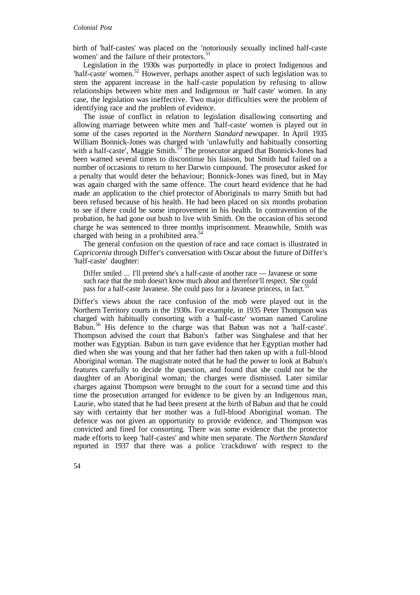birth of 'half-castes' was placed on the 'notoriously sexually inclined half-caste women' and the failure of their protectors.<sup>51</sup>

Legislation in the 1930s was purportedly in place to protect Indigenous and 'half-caste' women.<sup>52</sup> However, perhaps another aspect of such legislation was to stem the apparent increase in the half-caste population by refusing to allow relationships between white men and Indigenous or 'half caste' women. In any case, the legislation was ineffective. Two major difficulties were the problem of identifying race and the problem of evidence.

The issue of conflict in relation to legislation disallowing consorting and allowing marriage between white men and 'half-caste' women is played out in some of the cases reported in the *Northern Standard* newspaper. In April 1935 William Bonnick-Jones was charged with 'unlawfully and habitually consorting with a half-caste', Maggie Smith.<sup>53</sup> The prosecutor argued that Bonnick-Jones had been warned several times to discontinue his liaison, but Smith had failed on a number of occasions to return to her Darwin compound. The prosecutor asked for a penalty that would deter the behaviour; Bonnick-Jones was fined, but in May was again charged with the same offence. The court heard evidence that he had made an application to the chief protector of Aboriginals to marry Smith but had been refused because of his health. He had been placed on six months probation to see if there could be some improvement in his health. In contravention of the probation, he had gone out bush to live with Smith. On the occasion of his second charge he was sentenced to three months imprisonment. Meanwhile, Smith was charged with being in a prohibited area.<sup>54</sup>

The general confusion on the question of race and race contact is illustrated in *Capricornia* through Differ's conversation with Oscar about the future of Differ's 'half-caste' daughter:

Differ smiled ... I'll pretend she's a half-caste of another race — Javanese or some such race that the mob doesn't know much about and therefore'll respect. She could pass for a half-caste Javanese. She could pass for a Javanese princess, in fact.<sup>55</sup>

Differ's views about the race confusion of the mob were played out in the Northern Territory courts in the 1930s. For example, in 1935 Peter Thompson was charged with habitually consorting with a 'half-caste' woman named Caroline Babun.<sup>56</sup> His defence to the charge was that Babun was not a 'half-caste'. Thompson advised the court that Babun's father was Singhalese and that her mother was Egyptian. Babun in turn gave evidence that her Egyptian mother had died when she was young and that her father had then taken up with a full-blood Aboriginal woman. The magistrate noted that he had the power to look at Babun's features carefully to decide the question, and found that she could not be the daughter of an Aboriginal woman; the charges were dismissed. Later similar charges against Thompson were brought to the court for a second time and this time the prosecution arranged for evidence to be given by an Indigenous man, Laurie, who stated that he had been present at the birth of Babun and that he could say with certainty that her mother was a full-blood Aboriginal woman. The defence was not given an opportunity to provide evidence, and Thompson was convicted and fined for consorting. There was some evidence that the protector made efforts to keep 'half-castes' and white men separate. The *Northern Standard* reported in 1937 that there was a police 'crackdown' with respect to the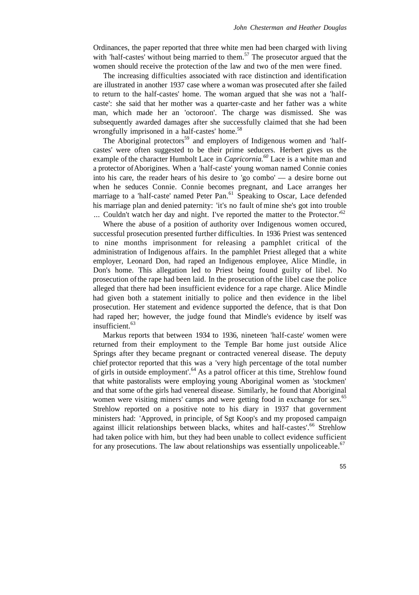Ordinances, the paper reported that three white men had been charged with living with 'half-castes' without being married to them.<sup>57</sup> The prosecutor argued that the women should receive the protection of the law and two of the men were fined.

The increasing difficulties associated with race distinction and identification are illustrated in another 1937 case where a woman was prosecuted after she failed to return to the half-castes' home. The woman argued that she was not a 'halfcaste': she said that her mother was a quarter-caste and her father was a white man, which made her an 'octoroon'. The charge was dismissed. She was subsequently awarded damages after she successfully claimed that she had been wrongfully imprisoned in a half-castes' home. $58$ 

The Aboriginal protectors<sup>59</sup> and employers of Indigenous women and 'halfcastes' were often suggested to be their prime seducers. Herbert gives us the example of the character Humbolt Lace in *Capricornia.<sup>60</sup>* Lace is a white man and a protector of Aborigines. When a 'half-caste' young woman named Connie conies into his care, the reader hears of his desire to 'go combo' — a desire borne out when he seduces Connie. Connie becomes pregnant, and Lace arranges her marriage to a 'half-caste' named Peter Pan.<sup>61</sup> Speaking to Oscar, Lace defended his marriage plan and denied paternity: 'it's no fault of mine she's got into trouble  $\ldots$  Couldn't watch her day and night. I've reported the matter to the Protector.<sup>'62</sup>

Where the abuse of a position of authority over Indigenous women occured, successful prosecution presented further difficulties. In 1936 Priest was sentenced to nine months imprisonment for releasing a pamphlet critical of the administration of Indigenous affairs. In the pamphlet Priest alleged that a white employer, Leonard Don, had raped an Indigenous employee, Alice Mindle, in Don's home. This allegation led to Priest being found guilty of libel. No prosecution of the rape had been laid. In the prosecution of the libel case the police alleged that there had been insufficient evidence for a rape charge. Alice Mindle had given both a statement initially to police and then evidence in the libel prosecution. Her statement and evidence supported the defence, that is that Don had raped her; however, the judge found that Mindle's evidence by itself was insufficient 63

Markus reports that between 1934 to 1936, nineteen 'half-caste' women were returned from their employment to the Temple Bar home just outside Alice Springs after they became pregnant or contracted venereal disease. The deputy chief protector reported that this was a 'very high percentage of the total number of girls in outside employment'.<sup>64</sup> As a patrol officer at this time, Strehlow found that white pastoralists were employing young Aboriginal women as 'stockmen' and that some of the girls had venereal disease. Similarly, he found that Aboriginal women were visiting miners' camps and were getting food in exchange for sex.<sup>65</sup> Strehlow reported on a positive note to his diary in 1937 that government ministers had: 'Approved, in principle, of Sgt Koop's and my proposed campaign against illicit relationships between blacks, whites and half-castes'.<sup>66</sup> Strehlow had taken police with him, but they had been unable to collect evidence sufficient for any prosecutions. The law about relationships was essentially unpoliceable.<sup>67</sup>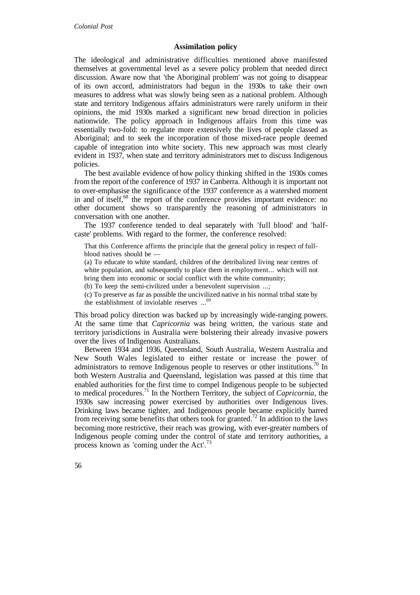# **Assimilation policy**

The ideological and administrative difficulties mentioned above manifested themselves at governmental level as a severe policy problem that needed direct discussion. Aware now that 'the Aboriginal problem' was not going to disappear of its own accord, administrators had begun in the 1930s to take their own measures to address what was slowly being seen as a national problem. Although state and territory Indigenous affairs administrators were rarely uniform in their opinions, the mid 1930s marked a significant new broad direction in policies nationwide. The policy approach in Indigenous affairs from this time was essentially two-fold: to regulate more extensively the lives of people classed as Aboriginal; and to seek the incorporation of those mixed-race people deemed capable of integration into white society. This new approach was most clearly evident in 1937, when state and territory administrators met to discuss Indigenous policies.

The best available evidence of how policy thinking shifted in the 1930s comes from the report of the conference of 1937 in Canberra. Although it is important not to over-emphasise the significance of the 1937 conference as a watershed moment in and of itself,<sup>68</sup> the report of the conference provides important evidence: no other document shows so transparently the reasoning of administrators in conversation with one another.

The 1937 conference tended to deal separately with 'full blood' and 'halfcaste' problems. With regard to the former, the conference resolved:

That this Conference affirms the principle that the general policy in respect of fullblood natives should be —

(a) To educate to white standard, children of the detribalized living near centres of white population, and subsequently to place them in employment... which will not bring them into economic or social conflict with the white community;

(b) To keep the semi-civilized under a benevolent supervision ...;

(c) To preserve as far as possible the uncivilized native in his normal tribal state by the establishment of inviolable reserves ... 69

This broad policy direction was backed up by increasingly wide-ranging powers. At the same time that *Capricornia* was being written, the various state and territory jurisdictions in Australia were bolstering their already invasive powers over the lives of Indigenous Australians.

Between 1934 and 1936, Queensland, South Australia, Western Australia and New South Wales legislated to either restate or increase the power of administrators to remove Indigenous people to reserves or other institutions.<sup>70</sup> In both Western Australia and Queensland, legislation was passed at this time that enabled authorities for the first time to compel Indigenous people to be subjected to medical procedures.<sup>71</sup> In the Northern Territory, the subject of *Capricornia,* the 1930s saw increasing power exercised by authorities over Indigenous lives. Drinking laws became tighter, and Indigenous people became explicitly barred from receiving some benefits that others took for granted.<sup>72</sup> In addition to the laws becoming more restrictive, their reach was growing, with ever-greater numbers of Indigenous people coming under the control of state and territory authorities, a process known as 'coming under the Act'.<sup>73</sup>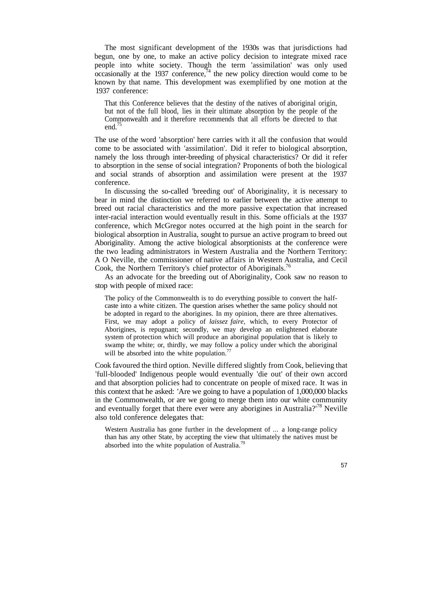The most significant development of the 1930s was that jurisdictions had begun, one by one, to make an active policy decision to integrate mixed race people into white society. Though the term 'assimilation' was only used  $\alpha$  occasionally at the 1937 conference,  $\alpha$ <sup>4</sup> the new policy direction would come to be known by that name. This development was exemplified by one motion at the 1937 conference:

That this Conference believes that the destiny of the natives of aboriginal origin, but not of the full blood, lies in their ultimate absorption by the people of the Commonwealth and it therefore recommends that all efforts be directed to that end<sup>75</sup>

The use of the word 'absorption' here carries with it all the confusion that would come to be associated with 'assimilation'. Did it refer to biological absorption, namely the loss through inter-breeding of physical characteristics? Or did it refer to absorption in the sense of social integration? Proponents of both the biological and social strands of absorption and assimilation were present at the 1937 conference.

In discussing the so-called 'breeding out' of Aboriginality, it is necessary to bear in mind the distinction we referred to earlier between the active attempt to breed out racial characteristics and the more passive expectation that increased inter-racial interaction would eventually result in this. Some officials at the 1937 conference, which McGregor notes occurred at the high point in the search for biological absorption in Australia, sought to pursue an active program to breed out Aboriginality. Among the active biological absorptionists at the conference were the two leading administrators in Western Australia and the Northern Territory: A O Neville, the commissioner of native affairs in Western Australia, and Cecil Cook, the Northern Territory's chief protector of Aboriginals.<sup>76</sup>

As an advocate for the breeding out of Aboriginality, Cook saw no reason to stop with people of mixed race:

The policy of the Commonwealth is to do everything possible to convert the halfcaste into a white citizen. The question arises whether the same policy should not be adopted in regard to the aborigines. In my opinion, there are three alternatives. First, we may adopt a policy of *laissez faire,* which, to every Protector of Aborigines, is repugnant; secondly, we may develop an enlightened elaborate system of protection which will produce an aboriginal population that is likely to swamp the white; or, thirdly, we may follow a policy under which the aboriginal will be absorbed into the white population.<sup>77</sup>

Cook favoured the third option. Neville differed slightly from Cook, believing that 'full-blooded' Indigenous people would eventually 'die out' of their own accord and that absorption policies had to concentrate on people of mixed race. It was in this context that he asked: 'Are we going to have a population of 1,000,000 blacks in the Commonwealth, or are we going to merge them into our white community and eventually forget that there ever were any aborigines in Australia?<sup>78</sup> Neville also told conference delegates that:

Western Australia has gone further in the development of ... a long-range policy than has any other State, by accepting the view that ultimately the natives must be absorbed into the white population of Australia.<sup>79</sup>